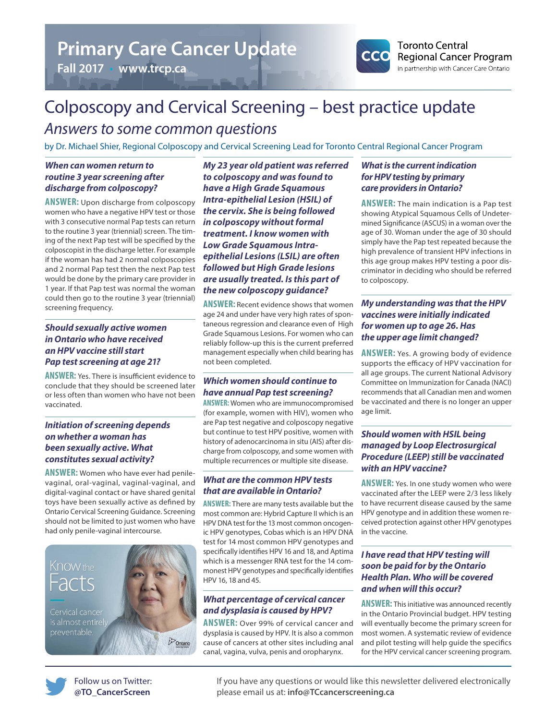## **Primary Care Cancer Update**

**Fall 2017** • **www.trcp.ca**



## Colposcopy and Cervical Screening – best practice update *Answers to some common questions*

by Dr. Michael Shier, Regional Colposcopy and Cervical Screening Lead for Toronto Central Regional Cancer Program

#### *When can women return to routine 3 year screening after discharge from colposcopy?*

**ANSWER:** Upon discharge from colposcopy women who have a negative HPV test or those with 3 consecutive normal Pap tests can return to the routine 3 year (triennial) screen. The timing of the next Pap test will be specified by the colposcopist in the discharge letter. For example if the woman has had 2 normal colposcopies and 2 normal Pap test then the next Pap test would be done by the primary care provider in 1 year. If that Pap test was normal the woman could then go to the routine 3 year (triennial) screening frequency.

#### *Should sexually active women in Ontario who have received an HPV vaccine still start Pap test screening at age 21?*

**ANSWER:** Yes. There is insufficient evidence to conclude that they should be screened later or less often than women who have not been vaccinated.

#### *Initiation of screening depends on whether a woman has been sexually active. What constitutes sexual activity?*

**ANSWER:** Women who have ever had penilevaginal, oral-vaginal, vaginal-vaginal, and digital-vaginal contact or have shared genital toys have been sexually active as defined by Ontario Cervical Screening Guidance. Screening should not be limited to just women who have had only penile-vaginal intercourse.



*My 23 year old patient was referred to colposcopy and was found to have a High Grade Squamous Intra-epithelial Lesion (HSIL) of the cervix. She is being followed in colposcopy without formal treatment. I know women with Low Grade Squamous Intraepithelial Lesions (LSIL) are often followed but High Grade lesions are usually treated. Is this part of the new colposcopy guidance?*

**ANSWER:** Recent evidence shows that women age 24 and under have very high rates of spontaneous regression and clearance even of High Grade Squamous Lesions. For women who can reliably follow-up this is the current preferred management especially when child bearing has not been completed.

#### *Which women should continue to have annual Pap test screening?*

**ANSWER:** Women who are immunocompromised (for example, women with HIV), women who are Pap test negative and colposcopy negative but continue to test HPV positive, women with history of adenocarcinoma in situ (AIS) after discharge from colposcopy, and some women with multiple recurrences or multiple site disease.

#### *What are the common HPV tests that are available in Ontario?*

**ANSWER:** There are many tests available but the most common are: Hybrid Capture II which is an HPV DNA test for the 13 most common oncogenic HPV genotypes, Cobas which is an HPV DNA test for 14 most common HPV genotypes and specifically identifies HPV 16 and 18, and Aptima which is a messenger RNA test for the 14 commonest HPV genotypes and specifically identifies HPV 16, 18 and 45.

#### *What percentage of cervical cancer and dysplasia is caused by HPV?*

**ANSWER:** Over 99% of cervical cancer and dysplasia is caused by HPV. It is also a common cause of cancers at other sites including anal canal, vagina, vulva, penis and oropharynx.

#### *What is the current indication for HPV testing by primary care providers in Ontario?*

**ANSWER:** The main indication is a Pap test showing Atypical Squamous Cells of Undetermined Significance (ASCUS) in a woman over the age of 30. Woman under the age of 30 should simply have the Pap test repeated because the high prevalence of transient HPV infections in this age group makes HPV testing a poor discriminator in deciding who should be referred to colposcopy.

#### *My understanding was that the HPV vaccines were initially indicated for women up to age 26. Has the upper age limit changed?*

**ANSWER:** Yes. A growing body of evidence supports the efficacy of HPV vaccination for all age groups. The current National Advisory Committee on Immunization for Canada (NACI) recommends that all Canadian men and women be vaccinated and there is no longer an upper age limit.

#### *Should women with HSIL being managed by Loop Electrosurgical Procedure (LEEP) still be vaccinated with an HPV vaccine?*

**ANSWER:** Yes. In one study women who were vaccinated after the LEEP were 2/3 less likely to have recurrent disease caused by the same HPV genotype and in addition these women received protection against other HPV genotypes in the vaccine.

#### *I have read that HPV testing will soon be paid for by the Ontario Health Plan. Who will be covered and when will this occur?*

**ANSWER:** This initiative was announced recently in the Ontario Provincial budget. HPV testing will eventually become the primary screen for most women. A systematic review of evidence and pilot testing will help guide the specifics for the HPV cervical cancer screening program.



If you have any questions or would like this newsletter delivered electronically please email us at: **[info@TCcancerscreening.ca](mailto:info%40TCcancerscreening.ca?subject=)**